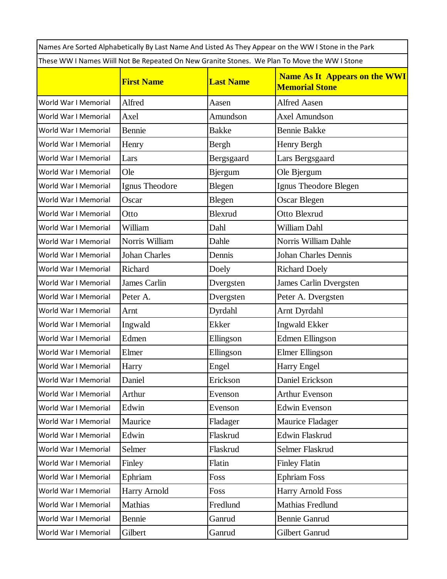|                                                                                              |                     |                  | Names Are Sorted Alphabetically By Last Name And Listed As They Appear on the WW I Stone in the Park |  |  |  |
|----------------------------------------------------------------------------------------------|---------------------|------------------|------------------------------------------------------------------------------------------------------|--|--|--|
| These WW I Names Wiill Not Be Repeated On New Granite Stones. We Plan To Move the WW I Stone |                     |                  |                                                                                                      |  |  |  |
|                                                                                              | <b>First Name</b>   | <b>Last Name</b> | <b>Name As It Appears on the WWI</b><br><b>Memorial Stone</b>                                        |  |  |  |
| World War I Memorial                                                                         | Alfred              | Aasen            | <b>Alfred Aasen</b>                                                                                  |  |  |  |
| World War I Memorial                                                                         | Axel                | Amundson         | <b>Axel Amundson</b>                                                                                 |  |  |  |
| World War I Memorial                                                                         | Bennie              | <b>Bakke</b>     | <b>Bennie Bakke</b>                                                                                  |  |  |  |
| World War I Memorial                                                                         | Henry               | Bergh            | Henry Bergh                                                                                          |  |  |  |
| World War I Memorial                                                                         | Lars                | Bergsgaard       | Lars Bergsgaard                                                                                      |  |  |  |
| World War I Memorial                                                                         | Ole                 | <b>Bjergum</b>   | Ole Bjergum                                                                                          |  |  |  |
| World War I Memorial                                                                         | Ignus Theodore      | Blegen           | Ignus Theodore Blegen                                                                                |  |  |  |
| World War I Memorial                                                                         | Oscar               | Blegen           | Oscar Blegen                                                                                         |  |  |  |
| World War I Memorial                                                                         | Otto                | <b>Blexrud</b>   | Otto Blexrud                                                                                         |  |  |  |
| World War I Memorial                                                                         | William             | Dahl             | William Dahl                                                                                         |  |  |  |
| World War I Memorial                                                                         | Norris William      | Dahle            | Norris William Dahle                                                                                 |  |  |  |
| World War I Memorial                                                                         | Johan Charles       | Dennis           | <b>Johan Charles Dennis</b>                                                                          |  |  |  |
| World War I Memorial                                                                         | Richard             | Doely            | <b>Richard Doely</b>                                                                                 |  |  |  |
| World War I Memorial                                                                         | <b>James Carlin</b> | Dvergsten        | James Carlin Dvergsten                                                                               |  |  |  |
| World War I Memorial                                                                         | Peter A.            | Dvergsten        | Peter A. Dvergsten                                                                                   |  |  |  |
| World War I Memorial                                                                         | Arnt                | Dyrdahl          | Arnt Dyrdahl                                                                                         |  |  |  |
| World War I Memorial                                                                         | Ingwald             | Ekker            | Ingwald Ekker                                                                                        |  |  |  |
| World War I Memorial                                                                         | Edmen               | Ellingson        | <b>Edmen Ellingson</b>                                                                               |  |  |  |
| World War I Memorial                                                                         | Elmer               | Ellingson        | Elmer Ellingson                                                                                      |  |  |  |
| World War I Memorial                                                                         | Harry               | Engel            | Harry Engel                                                                                          |  |  |  |
| World War I Memorial                                                                         | Daniel              | Erickson         | Daniel Erickson                                                                                      |  |  |  |
| World War I Memorial                                                                         | Arthur              | Evenson          | <b>Arthur Evenson</b>                                                                                |  |  |  |
| World War I Memorial                                                                         | Edwin               | Evenson          | <b>Edwin Evenson</b>                                                                                 |  |  |  |
| World War I Memorial                                                                         | Maurice             | Fladager         | Maurice Fladager                                                                                     |  |  |  |
| World War I Memorial                                                                         | Edwin               | Flaskrud         | Edwin Flaskrud                                                                                       |  |  |  |
| World War I Memorial                                                                         | Selmer              | Flaskrud         | Selmer Flaskrud                                                                                      |  |  |  |
| World War I Memorial                                                                         | Finley              | Flatin           | <b>Finley Flatin</b>                                                                                 |  |  |  |
| World War I Memorial                                                                         | Ephriam             | Foss             | <b>Ephriam Foss</b>                                                                                  |  |  |  |
| World War I Memorial                                                                         | Harry Arnold        | Foss             | Harry Arnold Foss                                                                                    |  |  |  |
| World War I Memorial                                                                         | Mathias             | Fredlund         | Mathias Fredlund                                                                                     |  |  |  |
| World War I Memorial                                                                         | Bennie              | Ganrud           | <b>Bennie Ganrud</b>                                                                                 |  |  |  |
| World War I Memorial                                                                         | Gilbert             | Ganrud           | Gilbert Ganrud                                                                                       |  |  |  |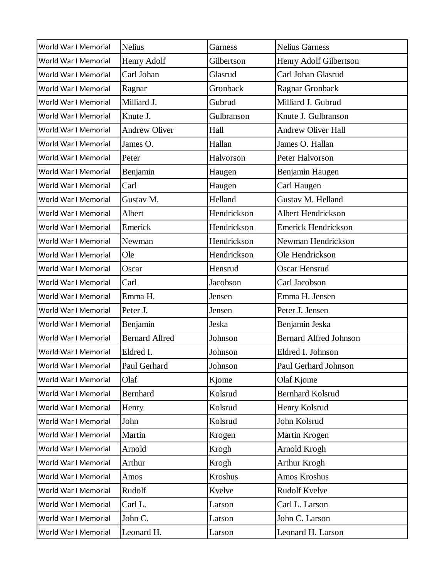| World War I Memorial | <b>Nelius</b>         | Garness     | <b>Nelius Garness</b>         |
|----------------------|-----------------------|-------------|-------------------------------|
| World War I Memorial | Henry Adolf           | Gilbertson  | Henry Adolf Gilbertson        |
| World War I Memorial | Carl Johan            | Glasrud     | Carl Johan Glasrud            |
| World War I Memorial | Ragnar                | Gronback    | Ragnar Gronback               |
| World War I Memorial | Milliard J.           | Gubrud      | Milliard J. Gubrud            |
| World War I Memorial | Knute J.              | Gulbranson  | Knute J. Gulbranson           |
| World War I Memorial | <b>Andrew Oliver</b>  | Hall        | <b>Andrew Oliver Hall</b>     |
| World War I Memorial | James O.              | Hallan      | James O. Hallan               |
| World War I Memorial | Peter                 | Halvorson   | Peter Halvorson               |
| World War I Memorial | Benjamin              | Haugen      | Benjamin Haugen               |
| World War I Memorial | Carl                  | Haugen      | Carl Haugen                   |
| World War I Memorial | Gustav M.             | Helland     | Gustav M. Helland             |
| World War I Memorial | Albert                | Hendrickson | <b>Albert Hendrickson</b>     |
| World War I Memorial | Emerick               | Hendrickson | <b>Emerick Hendrickson</b>    |
| World War I Memorial | Newman                | Hendrickson | Newman Hendrickson            |
| World War I Memorial | Ole                   | Hendrickson | Ole Hendrickson               |
| World War I Memorial | Oscar                 | Hensrud     | <b>Oscar Hensrud</b>          |
| World War I Memorial | Carl                  | Jacobson    | Carl Jacobson                 |
| World War I Memorial | Emma H.               | Jensen      | Emma H. Jensen                |
| World War I Memorial | Peter J.              | Jensen      | Peter J. Jensen               |
| World War I Memorial | Benjamin              | Jeska       | Benjamin Jeska                |
| World War I Memorial | <b>Bernard Alfred</b> | Johnson     | <b>Bernard Alfred Johnson</b> |
| World War I Memorial | Eldred I.             | Johnson     | Eldred I. Johnson             |
| World War I Memorial | Paul Gerhard          | Johnson     | Paul Gerhard Johnson          |
| World War I Memorial | Olaf                  | Kjome       | Olaf Kjome                    |
| World War I Memorial | Bernhard              | Kolsrud     | <b>Bernhard Kolsrud</b>       |
| World War I Memorial | Henry                 | Kolsrud     | Henry Kolsrud                 |
| World War I Memorial | John                  | Kolsrud     | John Kolsrud                  |
| World War I Memorial | Martin                | Krogen      | Martin Krogen                 |
| World War I Memorial | Arnold                | Krogh       | Arnold Krogh                  |
| World War I Memorial | Arthur                | Krogh       | Arthur Krogh                  |
| World War I Memorial | Amos                  | Kroshus     | Amos Kroshus                  |
| World War I Memorial | Rudolf                | Kvelve      | <b>Rudolf Kvelve</b>          |
| World War I Memorial | Carl L.               | Larson      | Carl L. Larson                |
| World War I Memorial | John C.               | Larson      | John C. Larson                |
| World War I Memorial | Leonard H.            | Larson      | Leonard H. Larson             |